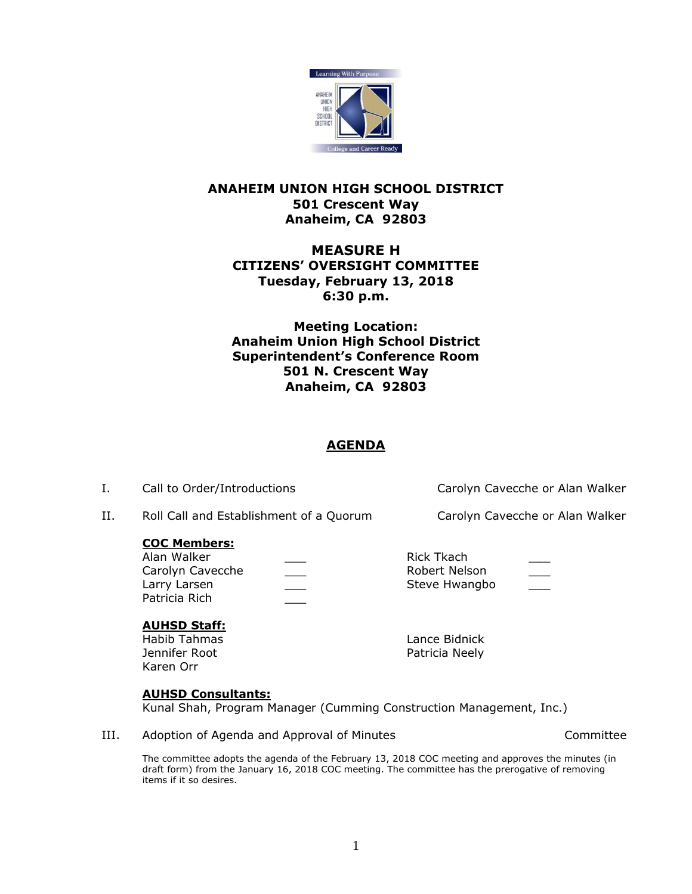

## **ANAHEIM UNION HIGH SCHOOL DISTRICT 501 Crescent Way Anaheim, CA 92803**

# **MEASURE H CITIZENS' OVERSIGHT COMMITTEE Tuesday, February 13, 2018 6:30 p.m.**

**Meeting Location: Anaheim Union High School District Superintendent's Conference Room 501 N. Crescent Way Anaheim, CA 92803**

# **AGENDA**

I. Call to Order/Introductions Carolyn Cavecche or Alan Walker

II. Roll Call and Establishment of a Quorum Carolyn Cavecche or Alan Walker

### **COC Members:**

Alan Walker **Alan Walker Alan Walker Rick Tkach Rick Tkach** Carolyn Cavecche \_\_\_ \_\_\_ Robert Nelson Larry Larsen **Exercise Steve Hwangbo Steve Hwangbo** Patricia Rich \_\_\_

## **AUHSD Staff:**

Jennifer Root **Patricia Neely** Karen Orr

Habib Tahmas Lance Bidnick

## **AUHSD Consultants:**

Kunal Shah, Program Manager (Cumming Construction Management, Inc.)

III. Adoption of Agenda and Approval of Minutes Theorem 2012 Committee

The committee adopts the agenda of the February 13, 2018 COC meeting and approves the minutes (in draft form) from the January 16, 2018 COC meeting. The committee has the prerogative of removing items if it so desires.